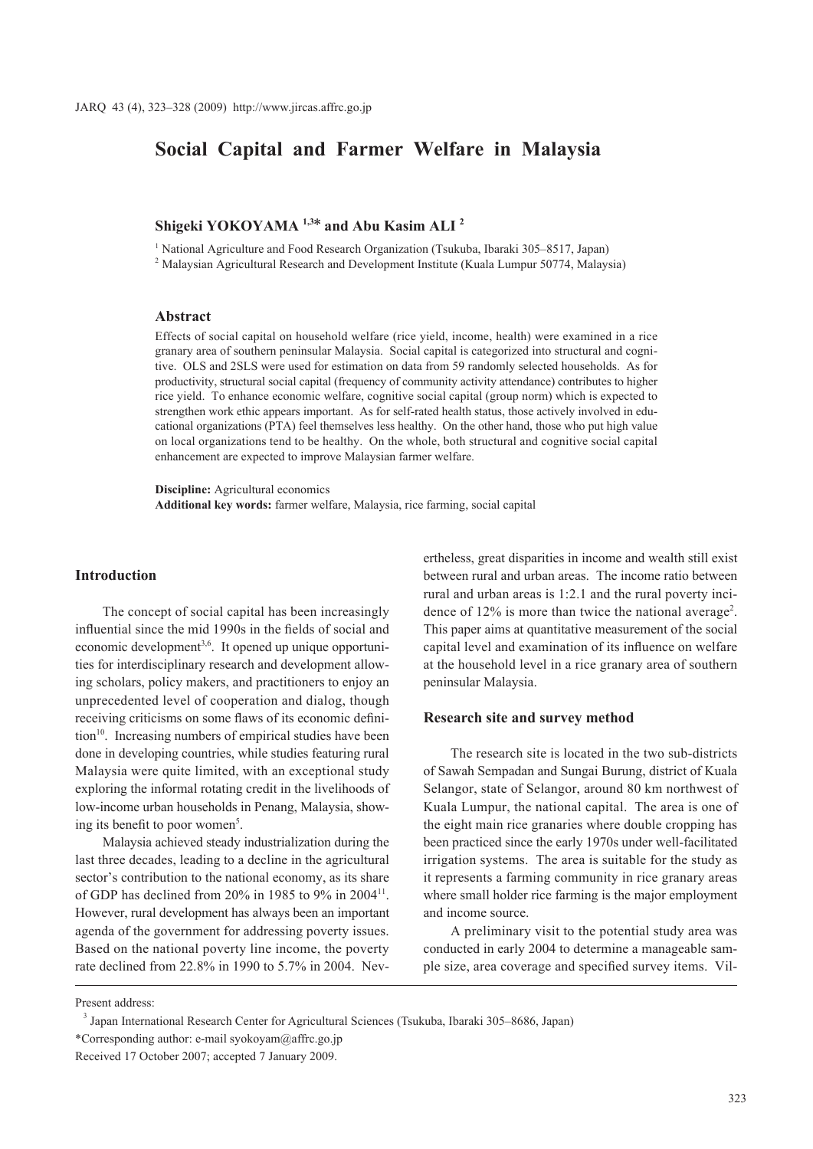# **Social Capital and Farmer Welfare in Malaysia**

## **Shigeki YOKOYAMA 1,3\* and Abu Kasim ALI 2**

<sup>1</sup> National Agriculture and Food Research Organization (Tsukuba, Ibaraki 305-8517, Japan)

<sup>2</sup> Malaysian Agricultural Research and Development Institute (Kuala Lumpur 50774, Malaysia)

#### **Abstract**

Effects of social capital on household welfare (rice yield, income, health) were examined in a rice granary area of southern peninsular Malaysia. Social capital is categorized into structural and cognitive. OLS and 2SLS were used for estimation on data from 59 randomly selected households. As for productivity, structural social capital (frequency of community activity attendance) contributes to higher rice yield. To enhance economic welfare, cognitive social capital (group norm) which is expected to strengthen work ethic appears important. As for self-rated health status, those actively involved in educational organizations (PTA) feel themselves less healthy. On the other hand, those who put high value on local organizations tend to be healthy. On the whole, both structural and cognitive social capital enhancement are expected to improve Malaysian farmer welfare.

**Discipline:** Agricultural economics **Additional key words:** farmer welfare, Malaysia, rice farming, social capital

## **Introduction**

The concept of social capital has been increasingly influential since the mid 1990s in the fields of social and economic development<sup>3,6</sup>. It opened up unique opportunities for interdisciplinary research and development allowing scholars, policy makers, and practitioners to enjoy an unprecedented level of cooperation and dialog, though receiving criticisms on some flaws of its economic definition<sup>10</sup>. Increasing numbers of empirical studies have been done in developing countries, while studies featuring rural Malaysia were quite limited, with an exceptional study exploring the informal rotating credit in the livelihoods of low-income urban households in Penang, Malaysia, showing its benefit to poor women<sup>5</sup>.

Malaysia achieved steady industrialization during the last three decades, leading to a decline in the agricultural sector's contribution to the national economy, as its share of GDP has declined from 20% in 1985 to 9% in 2004 $^{11}$ . However, rural development has always been an important agenda of the government for addressing poverty issues. Based on the national poverty line income, the poverty rate declined from 22.8% in 1990 to 5.7% in 2004. Nevertheless, great disparities in income and wealth still exist between rural and urban areas. The income ratio between rural and urban areas is 1:2.1 and the rural poverty incidence of 12% is more than twice the national average<sup>2</sup>. This paper aims at quantitative measurement of the social capital level and examination of its influence on welfare at the household level in a rice granary area of southern peninsular Malaysia.

## **Research site and survey method**

The research site is located in the two sub-districts of Sawah Sempadan and Sungai Burung, district of Kuala Selangor, state of Selangor, around 80 km northwest of Kuala Lumpur, the national capital. The area is one of the eight main rice granaries where double cropping has been practiced since the early 1970s under well-facilitated irrigation systems. The area is suitable for the study as it represents a farming community in rice granary areas where small holder rice farming is the major employment and income source.

A preliminary visit to the potential study area was conducted in early 2004 to determine a manageable sample size, area coverage and specified survey items. Vil-

Present address:

 $3$  Japan International Research Center for Agricultural Sciences (Tsukuba, Ibaraki 305–8686, Japan)

<sup>\*</sup>Corresponding author: e-mail syokoyam@affrc.go.jp

Received 17 October 2007; accepted 7 January 2009.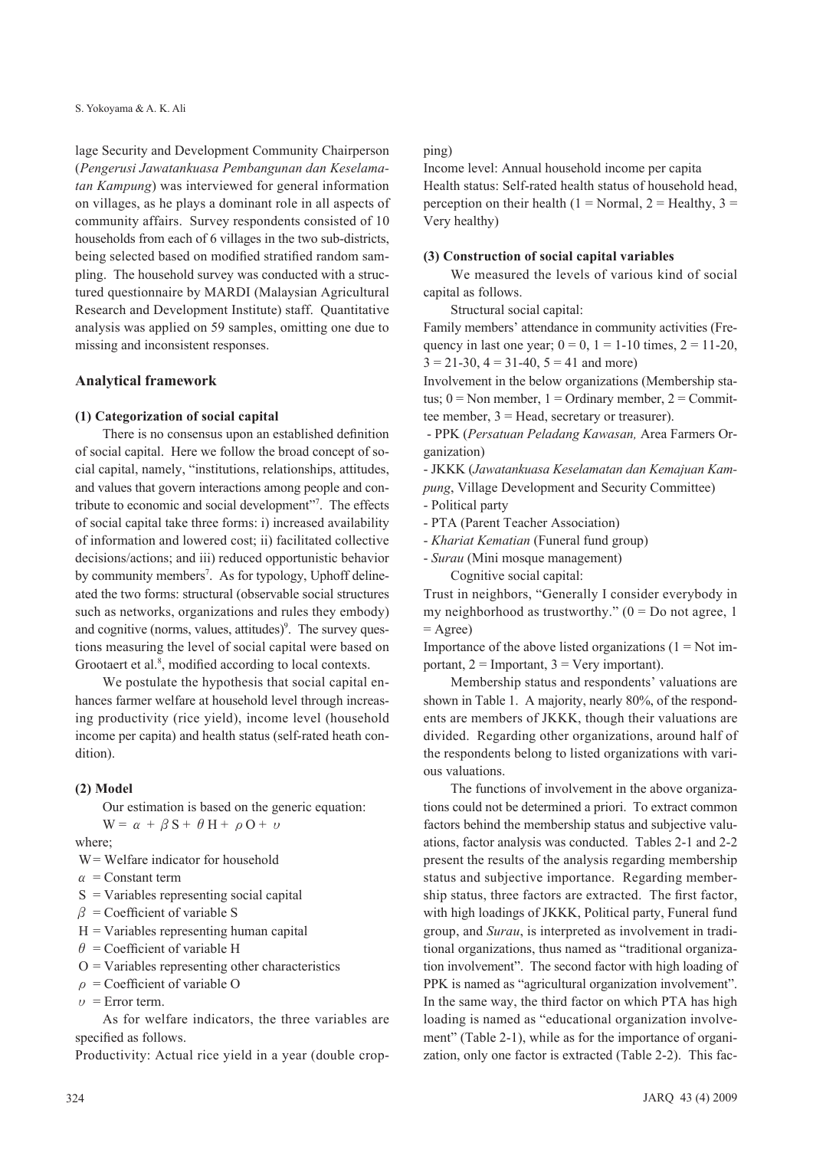lage Security and Development Community Chairperson (*Pengerusi Jawatankuasa Pembangunan dan Keselamatan Kampung*) was interviewed for general information on villages, as he plays a dominant role in all aspects of community affairs. Survey respondents consisted of 10 households from each of 6 villages in the two sub-districts, being selected based on modified stratified random sampling. The household survey was conducted with a structured questionnaire by MARDI (Malaysian Agricultural Research and Development Institute) staff. Quantitative analysis was applied on 59 samples, omitting one due to missing and inconsistent responses.

#### **Analytical framework**

#### **(1) Categorization of social capital**

There is no consensus upon an established definition of social capital. Here we follow the broad concept of social capital, namely, "institutions, relationships, attitudes, and values that govern interactions among people and contribute to economic and social development"<sup>7</sup>. The effects of social capital take three forms: i) increased availability of information and lowered cost; ii) facilitated collective decisions/actions; and iii) reduced opportunistic behavior by community members<sup>7</sup>. As for typology, Uphoff delineated the two forms: structural (observable social structures such as networks, organizations and rules they embody) and cognitive (norms, values, attitudes)<sup>9</sup>. The survey questions measuring the level of social capital were based on Grootaert et al.<sup>8</sup>, modified according to local contexts.

We postulate the hypothesis that social capital enhances farmer welfare at household level through increasing productivity (rice yield), income level (household income per capita) and health status (self-rated heath condition).

#### **(2) Model**

Our estimation is based on the generic equation:

 $W = \alpha + \beta S + \theta H + \rho O + \nu$ 

where;

- W = Welfare indicator for household
- $\alpha$  = Constant term
- $S = \text{Variables representing social capital}$
- $\beta$  = Coefficient of variable S
- $H = \nVariables$  representing human capital
- $\theta$  = Coefficient of variable H
- $O =$  Variables representing other characteristics
- **ρ** = Coefficient of variable O
- $\nu$  = Error term.

As for welfare indicators, the three variables are specified as follows.

Productivity: Actual rice yield in a year (double crop-

#### ping)

Income level: Annual household income per capita Health status: Self-rated health status of household head, perception on their health (1 = Normal, 2 = Healthy, 3 = Very healthy)

#### **(3) Construction of social capital variables**

We measured the levels of various kind of social capital as follows.

Structural social capital:

Family members' attendance in community activities (Frequency in last one year;  $0 = 0$ ,  $1 = 1-10$  times,  $2 = 11-20$ ,  $3 = 21-30$ ,  $4 = 31-40$ ,  $5 = 41$  and more)

Involvement in the below organizations (Membership status;  $0 = \text{Non member}, 1 = \text{Ordinary member}, 2 = \text{Commit-}$ tee member, 3 = Head, secretary or treasurer).

 - PPK (*Persatuan Peladang Kawasan,* Area Farmers Organization)

- JKKK (*Jawatankuasa Keselamatan dan Kemajuan Kampung*, Village Development and Security Committee)

- Political party

- PTA (Parent Teacher Association)
- *Khariat Kematian* (Funeral fund group)
- *Surau* (Mini mosque management)

Cognitive social capital:

Trust in neighbors, "Generally I consider everybody in my neighborhood as trustworthy."  $(0 = Do$  not agree, 1  $=$  Agree)

Importance of the above listed organizations  $(1 = Not im$ portant,  $2 =$ Important,  $3 =$ Very important).

Membership status and respondents' valuations are shown in Table 1. A majority, nearly 80%, of the respondents are members of JKKK, though their valuations are divided. Regarding other organizations, around half of the respondents belong to listed organizations with various valuations.

The functions of involvement in the above organizations could not be determined a priori. To extract common factors behind the membership status and subjective valuations, factor analysis was conducted. Tables 2-1 and 2-2 present the results of the analysis regarding membership status and subjective importance. Regarding membership status, three factors are extracted. The first factor, with high loadings of JKKK, Political party, Funeral fund group, and *Surau*, is interpreted as involvement in traditional organizations, thus named as "traditional organization involvement". The second factor with high loading of PPK is named as "agricultural organization involvement". In the same way, the third factor on which PTA has high loading is named as "educational organization involvement" (Table 2-1), while as for the importance of organization, only one factor is extracted (Table 2-2). This fac-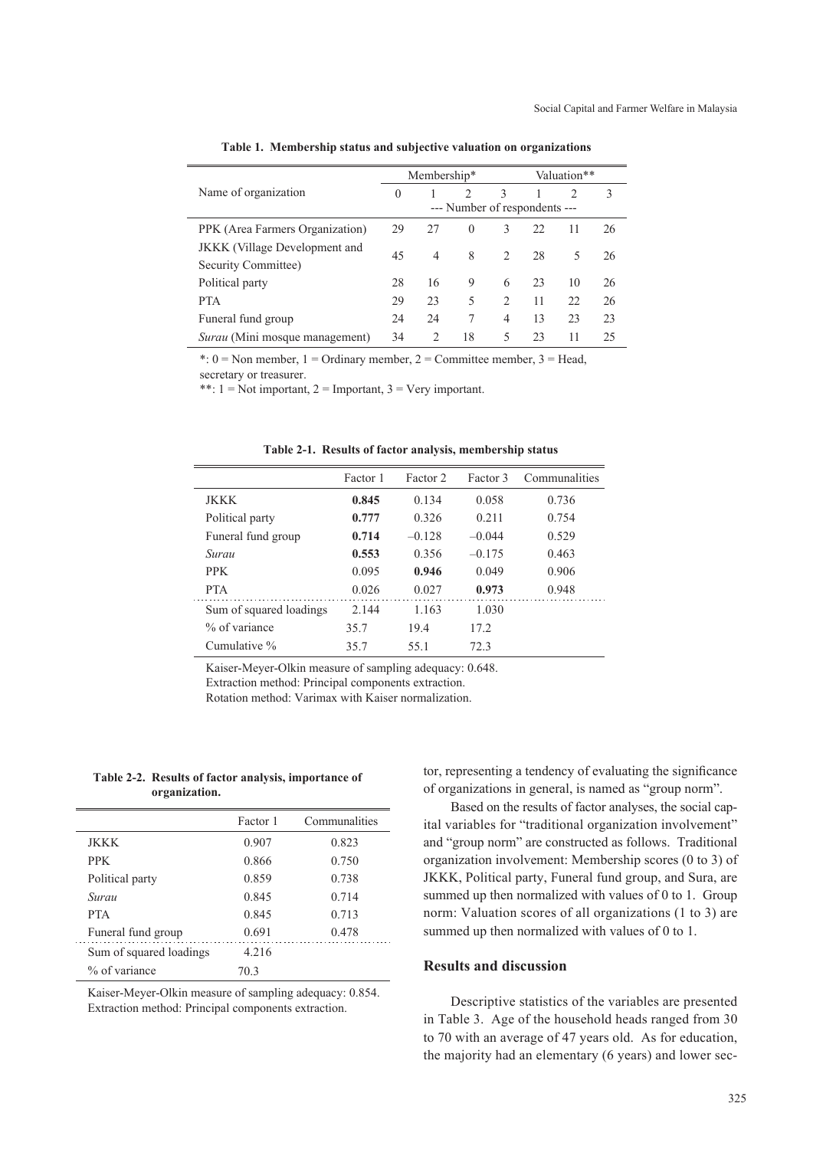|                                       |          | Membership*    |                               |                               |    | Valuation**   |    |
|---------------------------------------|----------|----------------|-------------------------------|-------------------------------|----|---------------|----|
| Name of organization                  | $\theta$ |                | $\mathfrak{D}_{\mathfrak{p}}$ | $\mathcal{E}$                 |    | $\mathcal{D}$ | 3  |
|                                       |          |                | --- Number of respondents --- |                               |    |               |    |
| PPK (Area Farmers Organization)       | 29       | 27             | $\theta$                      | 3                             | 22 | 11            | 26 |
| <b>JKKK</b> (Village Development and  | 45       | 4              | 8                             | $\mathfrak{D}_{\mathfrak{p}}$ | 28 | 5             | 26 |
| Security Committee)                   |          |                |                               |                               |    |               |    |
| Political party                       | 28       | 16             | 9                             | 6                             | 23 | 10            | 26 |
| <b>PTA</b>                            | 29       | 23             | 5                             | $\overline{2}$                | 11 | 22            | 26 |
| Funeral fund group                    | 24       | 24             | 7                             | 4                             | 13 | 23            | 23 |
| <i>Surau</i> (Mini mosque management) | 34       | $\mathfrak{D}$ | 18                            | 5                             | 23 | 11            | 25 |

**Table 1. Membership status and subjective valuation on organizations**

\*:  $0 = \text{Non member}, 1 = \text{Ordinary member}, 2 = \text{Committer member}, 3 = \text{Head},$ 

secretary or treasurer.

\*\*:  $1 = Not important$ ,  $2 = Important$ ,  $3 = Very important$ .

|  |  | Table 2-1. Results of factor analysis, membership status |  |
|--|--|----------------------------------------------------------|--|
|  |  |                                                          |  |

|                         | Factor 1 | Factor 2 | Factor 3 | Communalities |
|-------------------------|----------|----------|----------|---------------|
| JKKK                    | 0.845    | 0.134    | 0.058    | 0.736         |
| Political party         | 0.777    | 0.326    | 0.211    | 0.754         |
| Funeral fund group      | 0.714    | $-0.128$ | $-0.044$ | 0.529         |
| Surau                   | 0.553    | 0.356    | $-0.175$ | 0.463         |
| <b>PPK</b>              | 0.095    | 0.946    | 0.049    | 0.906         |
| <b>PTA</b>              | 0.026    | 0.027    | 0.973    | 0.948         |
| Sum of squared loadings | 2.144    | 1.163    | 1.030    |               |
| % of variance           | 35.7     | 19.4     | 17.2     |               |
| Cumulative %            | 35.7     | 55.1     | 72.3     |               |

Kaiser-Meyer-Olkin measure of sampling adequacy: 0.648.

Extraction method: Principal components extraction.

Rotation method: Varimax with Kaiser normalization.

**Table 2-2. Results of factor analysis, importance of organization.**

|                         | Factor 1 | Communalities |
|-------------------------|----------|---------------|
| <b>JKKK</b>             | 0.907    | 0.823         |
| <b>PPK</b>              | 0.866    | 0.750         |
| Political party         | 0.859    | 0.738         |
| Surau                   | 0.845    | 0.714         |
| <b>PTA</b>              | 0.845    | 0.713         |
| Funeral fund group      | 0.691    | 0.478         |
| Sum of squared loadings | 4 2 1 6  |               |
| % of variance           | 70.3     |               |

Kaiser-Meyer-Olkin measure of sampling adequacy: 0.854. Extraction method: Principal components extraction.

tor, representing a tendency of evaluating the significance of organizations in general, is named as "group norm".

Based on the results of factor analyses, the social capital variables for "traditional organization involvement" and "group norm" are constructed as follows. Traditional organization involvement: Membership scores (0 to 3) of JKKK, Political party, Funeral fund group, and Sura, are summed up then normalized with values of 0 to 1. Group norm: Valuation scores of all organizations (1 to 3) are summed up then normalized with values of 0 to 1.

## **Results and discussion**

Descriptive statistics of the variables are presented in Table 3. Age of the household heads ranged from 30 to 70 with an average of 47 years old. As for education, the majority had an elementary (6 years) and lower sec-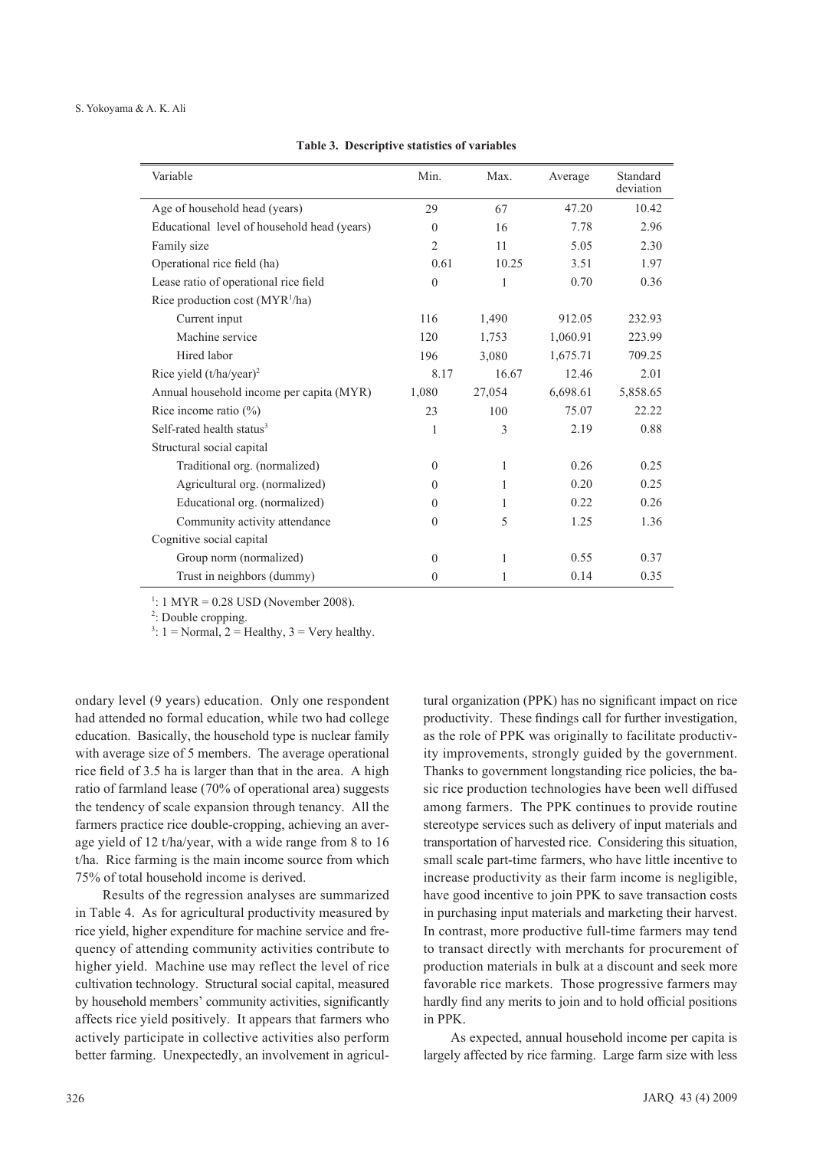|  | Table 3. Descriptive statistics of variables |  |  |  |
|--|----------------------------------------------|--|--|--|
|--|----------------------------------------------|--|--|--|

| Variable                                    | Min.           | Max.   | Average  | Standard<br>deviation |
|---------------------------------------------|----------------|--------|----------|-----------------------|
| Age of household head (years)               | 29             | 67     | 47.20    | 10.42                 |
| Educational level of household head (years) | $\theta$       | 16     | 7.78     | 2.96                  |
| Family size                                 | $\overline{2}$ | 11     | 5.05     | 2.30                  |
| Operational rice field (ha)                 | 0.61           | 10.25  | 3.51     | 1.97                  |
| Lease ratio of operational rice field       | $\theta$       | 1      | 0.70     | 0.36                  |
| Rice production cost $(MYR1/ha)$            |                |        |          |                       |
| Current input                               | 116            | 1,490  | 912.05   | 232.93                |
| Machine service                             | 120            | 1,753  | 1,060.91 | 223.99                |
| Hired labor                                 | 196            | 3,080  | 1,675.71 | 709.25                |
| Rice yield $(t/ha/year)^2$                  | 8.17           | 16.67  | 12.46    | 2.01                  |
| Annual household income per capita (MYR)    | 1,080          | 27,054 | 6,698.61 | 5,858.65              |
| Rice income ratio $(\%)$                    | 23             | 100    | 75.07    | 22.22                 |
| Self-rated health status <sup>3</sup>       | 1              | 3      | 2.19     | 0.88                  |
| Structural social capital                   |                |        |          |                       |
| Traditional org. (normalized)               | $\mathbf{0}$   | 1      | 0.26     | 0.25                  |
| Agricultural org. (normalized)              | $\theta$       | 1      | 0.20     | 0.25                  |
| Educational org. (normalized)               | $\theta$       | 1      | 0.22     | 0.26                  |
| Community activity attendance               | $\theta$       | 5      | 1.25     | 1.36                  |
| Cognitive social capital                    |                |        |          |                       |
| Group norm (normalized)                     | $\theta$       | 1      | 0.55     | 0.37                  |
| Trust in neighbors (dummy)                  | $\theta$       | 1      | 0.14     | 0.35                  |

 $1: 1 \text{ MYR} = 0.28 \text{ USD}$  (November 2008).

<sup>2</sup>: Double cropping.

 $3: 1 = \text{Normal}, 2 = \text{Healthy}, 3 = \text{Very healthy}.$ 

ondary level (9 years) education. Only one respondent had attended no formal education, while two had college education. Basically, the household type is nuclear family with average size of 5 members. The average operational rice field of 3.5 ha is larger than that in the area. A high ratio of farmland lease (70% of operational area) suggests the tendency of scale expansion through tenancy. All the farmers practice rice double-cropping, achieving an average yield of 12 t/ha/year, with a wide range from 8 to 16 t/ha. Rice farming is the main income source from which 75% of total household income is derived.

Results of the regression analyses are summarized in Table 4. As for agricultural productivity measured by rice yield, higher expenditure for machine service and frequency of attending community activities contribute to higher yield. Machine use may reflect the level of rice cultivation technology. Structural social capital, measured by household members' community activities, significantly affects rice yield positively. It appears that farmers who actively participate in collective activities also perform better farming. Unexpectedly, an involvement in agricultural organization (PPK) has no significant impact on rice productivity. These findings call for further investigation, as the role of PPK was originally to facilitate productivity improvements, strongly guided by the government. Thanks to government longstanding rice policies, the basic rice production technologies have been well diffused among farmers. The PPK continues to provide routine stereotype services such as delivery of input materials and transportation of harvested rice. Considering this situation, small scale part-time farmers, who have little incentive to increase productivity as their farm income is negligible, have good incentive to join PPK to save transaction costs in purchasing input materials and marketing their harvest. In contrast, more productive full-time farmers may tend to transact directly with merchants for procurement of production materials in bulk at a discount and seek more favorable rice markets. Those progressive farmers may hardly find any merits to join and to hold official positions in PPK.

As expected, annual household income per capita is largely affected by rice farming. Large farm size with less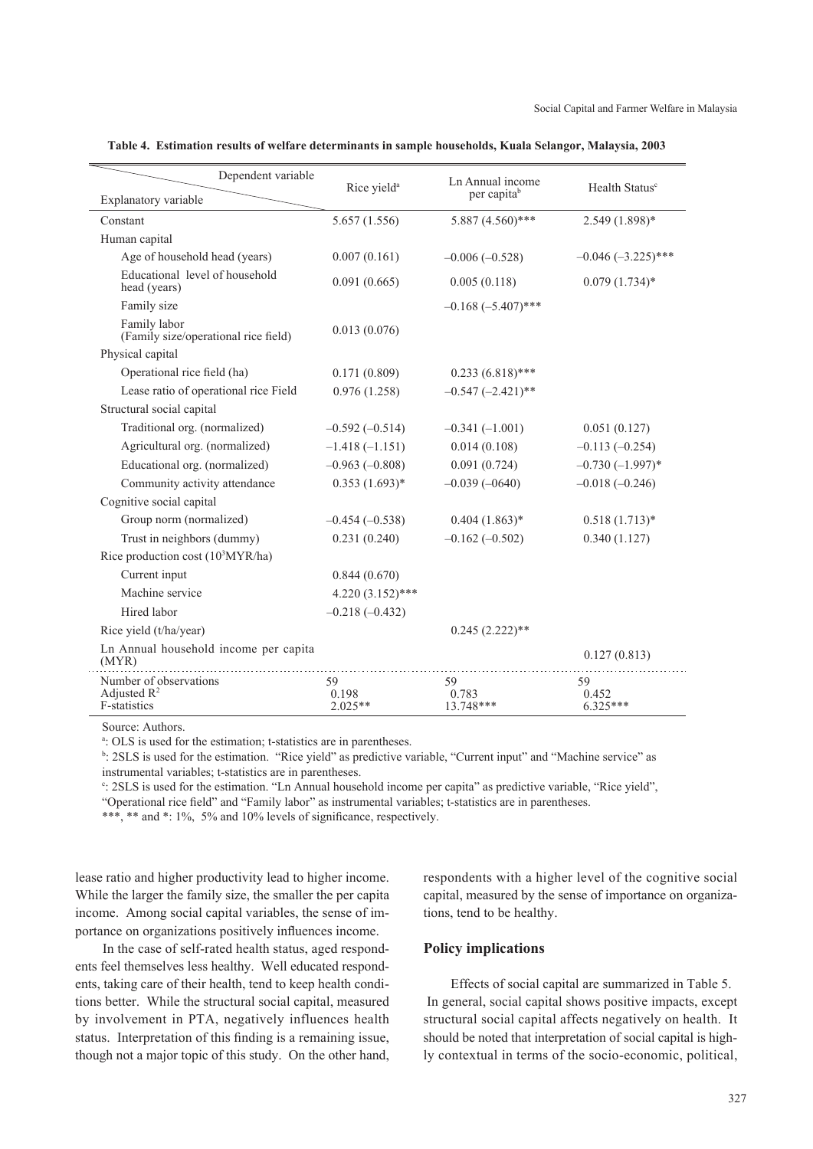| Dependent variable                                       | Rice yield <sup>a</sup>  | Ln Annual income         | Health Status <sup>c</sup> |
|----------------------------------------------------------|--------------------------|--------------------------|----------------------------|
| Explanatory variable                                     |                          | per capita <sup>b</sup>  |                            |
| Constant                                                 | 5.657(1.556)             | $5.887(4.560)$ ***       | $2.549(1.898)*$            |
| Human capital                                            |                          |                          |                            |
| Age of household head (years)                            | 0.007(0.161)             | $-0.006(-0.528)$         | $-0.046$ $(-3.225)$ ***    |
| Educational level of household<br>head (years)           | 0.091(0.665)             | 0.005(0.118)             | $0.079(1.734)*$            |
| Family size                                              |                          | $-0.168 (-5.407)$ ***    |                            |
| Family labor<br>(Family size/operational rice field)     | 0.013(0.076)             |                          |                            |
| Physical capital                                         |                          |                          |                            |
| Operational rice field (ha)                              | 0.171(0.809)             | $0.233(6.818)$ ***       |                            |
| Lease ratio of operational rice Field                    | 0.976(1.258)             | $-0.547$ $(-2.421)$ **   |                            |
| Structural social capital                                |                          |                          |                            |
| Traditional org. (normalized)                            | $-0.592(-0.514)$         | $-0.341(-1.001)$         | 0.051(0.127)               |
| Agricultural org. (normalized)                           | $-1.418(-1.151)$         | 0.014(0.108)             | $-0.113(-0.254)$           |
| Educational org. (normalized)                            | $-0.963(-0.808)$         | 0.091(0.724)             | $-0.730(-1.997)$ *         |
| Community activity attendance                            | $0.353(1.693)*$          | $-0.039(-0640)$          | $-0.018(-0.246)$           |
| Cognitive social capital                                 |                          |                          |                            |
| Group norm (normalized)                                  | $-0.454(-0.538)$         | $0.404(1.863)*$          | $0.518(1.713)*$            |
| Trust in neighbors (dummy)                               | 0.231(0.240)             | $-0.162(-0.502)$         | 0.340(1.127)               |
| Rice production cost $(10^3$ MYR/ha)                     |                          |                          |                            |
| Current input                                            | 0.844(0.670)             |                          |                            |
| Machine service                                          | $4.220(3.152)$ ***       |                          |                            |
| Hired labor                                              | $-0.218(-0.432)$         |                          |                            |
| Rice yield (t/ha/year)                                   |                          | $0.245(2.222)**$         |                            |
| Ln Annual household income per capita<br>(MYR)           |                          |                          | 0.127(0.813)               |
| Number of observations<br>Adjusted $R^2$<br>F-statistics | 59<br>0.198<br>$2.025**$ | 59<br>0.783<br>13.748*** | 59<br>0.452<br>$6.325***$  |

**Table 4. Estimation results of welfare determinants in sample households, Kuala Selangor, Malaysia, 2003**

Source: Authors.

a: OLS is used for the estimation; t-statistics are in parentheses.

<sup>b</sup>: 2SLS is used for the estimation. "Rice yield" as predictive variable, "Current input" and "Machine service" as instrumental variables; t-statistics are in parentheses.

c : 2SLS is used for the estimation. "Ln Annual household income per capita" as predictive variable, "Rice yield",

"Operational rice field" and "Family labor" as instrumental variables; t-statistics are in parentheses.

\*\*\*, \*\* and \*: 1%, 5% and 10% levels of significance, respectively.

lease ratio and higher productivity lead to higher income. While the larger the family size, the smaller the per capita income. Among social capital variables, the sense of importance on organizations positively influences income.

In the case of self-rated health status, aged respondents feel themselves less healthy. Well educated respondents, taking care of their health, tend to keep health conditions better. While the structural social capital, measured by involvement in PTA, negatively influences health status. Interpretation of this finding is a remaining issue, though not a major topic of this study. On the other hand, respondents with a higher level of the cognitive social capital, measured by the sense of importance on organizations, tend to be healthy.

## **Policy implications**

Effects of social capital are summarized in Table 5. In general, social capital shows positive impacts, except structural social capital affects negatively on health. It should be noted that interpretation of social capital is highly contextual in terms of the socio-economic, political,